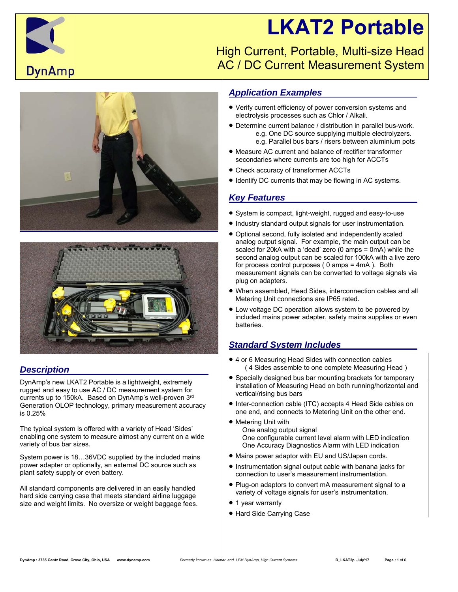# **LKAT2 Portable**



 High Current, Portable, Multi-size Head AC / DC Current Measurement System





## *Description*

DynAmp's new LKAT2 Portable is a lightweight, extremely rugged and easy to use AC / DC measurement system for currents up to 150kA. Based on DynAmp's well-proven 3rd Generation OLOP technology, primary measurement accuracy is 0.25%

The typical system is offered with a variety of Head 'Sides' enabling one system to measure almost any current on a wide variety of bus bar sizes.

System power is 18…36VDC supplied by the included mains power adapter or optionally, an external DC source such as plant safety supply or even battery.

All standard components are delivered in an easily handled hard side carrying case that meets standard airline luggage size and weight limits. No oversize or weight baggage fees.

## *Application Examples*

- Verify current efficiency of power conversion systems and electrolysis processes such as Chlor / Alkali.
- Determine current balance / distribution in parallel bus-work. e.g. One DC source supplying multiple electrolyzers. e.g. Parallel bus bars / risers between aluminium pots
- Measure AC current and balance of rectifier transformer secondaries where currents are too high for ACCTs
- Check accuracy of transformer ACCTs
- Identify DC currents that may be flowing in AC systems.

## *Key Features*

- System is compact, light-weight, rugged and easy-to-use
- $\bullet$  Industry standard output signals for user instrumentation.
- Optional second, fully isolated and independently scaled analog output signal. For example, the main output can be scaled for 20kA with a 'dead' zero (0 amps = 0mA) while the second analog output can be scaled for 100kA with a live zero for process control purposes ( 0 amps = 4mA ). Both measurement signals can be converted to voltage signals via plug on adapters.
- When assembled, Head Sides, interconnection cables and all Metering Unit connections are IP65 rated.
- Low voltage DC operation allows system to be powered by included mains power adapter, safety mains supplies or even batteries.

## *Standard System Includes*

- 4 or 6 Measuring Head Sides with connection cables ( 4 Sides assemble to one complete Measuring Head )
- Specially designed bus bar mounting brackets for temporary installation of Measuring Head on both running/horizontal and vertical/rising bus bars
- Inter-connection cable (ITC) accepts 4 Head Side cables on one end, and connects to Metering Unit on the other end.
- Metering Unit with One analog output signal One configurable current level alarm with LED indication One Accuracy Diagnostics Alarm with LED indication
- Mains power adaptor with EU and US/Japan cords.
- Instrumentation signal output cable with banana jacks for connection to user's measurement instrumentation.
- Plug-on adaptors to convert mA measurement signal to a variety of voltage signals for user's instrumentation.
- 1 year warranty
- Hard Side Carrying Case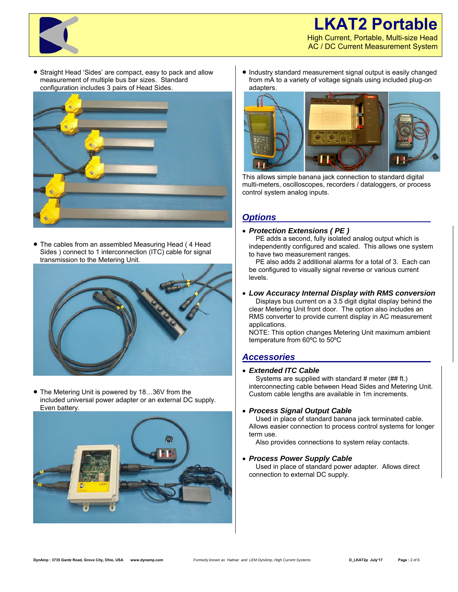## **LKAT2 Portable** High Current, Portable, Multi-size Head AC / DC Current Measurement System



 Straight Head 'Sides' are compact, easy to pack and allow measurement of multiple bus bar sizes. Standard configuration includes 3 pairs of Head Sides.



 The cables from an assembled Measuring Head ( 4 Head Sides ) connect to 1 interconnection (ITC) cable for signal transmission to the Metering Unit.



● The Metering Unit is powered by 18...36V from the included universal power adapter or an external DC supply. Even battery.



• Industry standard measurement signal output is easily changed from mA to a variety of voltage signals using included plug-on adapters.



This allows simple banana jack connection to standard digital multi-meters, oscilloscopes, recorders / dataloggers, or process control system analog inputs.

## *Options*

#### *Protection Extensions ( PE )*

PE adds a second, fully isolated analog output which is independently configured and scaled. This allows one system to have two measurement ranges.

 PE also adds 2 additional alarms for a total of 3. Each can be configured to visually signal reverse or various current levels.

#### *Low Accuracy Internal Display with RMS conversion*

 Displays bus current on a 3.5 digit digital display behind the clear Metering Unit front door. The option also includes an RMS converter to provide current display in AC measurement applications.

NOTE: This option changes Metering Unit maximum ambient temperature from 60ºC to 50ºC

## *Accessories*

#### *Extended ITC Cable*

 Systems are supplied with standard # meter (## ft.) interconnecting cable between Head Sides and Metering Unit. Custom cable lengths are available in 1m increments.

#### *Process Signal Output Cable*

 Used in place of standard banana jack terminated cable. Allows easier connection to process control systems for longer term use.

Also provides connections to system relay contacts.

#### *Process Power Supply Cable*

 Used in place of standard power adapter. Allows direct connection to external DC supply.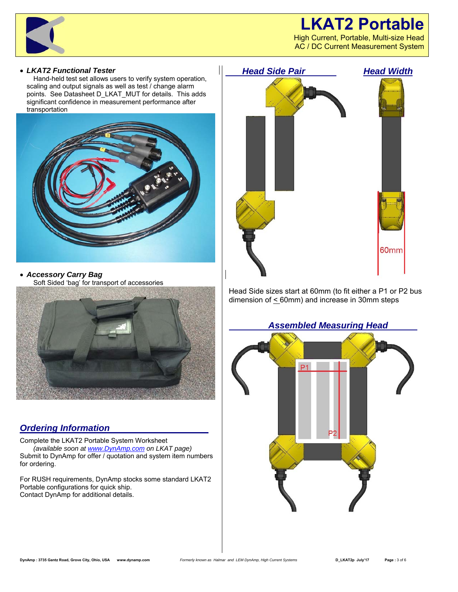

High Current, Portable, Multi-size Head AC / DC Current Measurement System



#### *LKAT2 Functional Tester*

 Hand-held test set allows users to verify system operation, scaling and output signals as well as test / change alarm points. See Datasheet D\_LKAT\_MUT for details. This adds significant confidence in measurement performance after transportation



 *Accessory Carry Bag* Soft Sided 'bag' for transport of accessories



## *Ordering Information*

Complete the LKAT2 Portable System Worksheet  *(available soon at www.DynAmp.com on LKAT page)*  Submit to DynAmp for offer / quotation and system item numbers for ordering.

For RUSH requirements, DynAmp stocks some standard LKAT2 Portable configurations for quick ship. Contact DynAmp for additional details.



Head Side sizes start at 60mm (to fit either a P1 or P2 bus dimension of  $\leq$  60mm) and increase in 30mm steps

#### *Assembled Measuring Head*

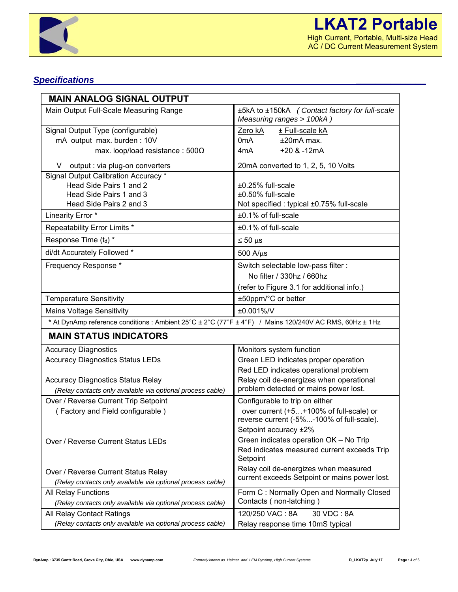

# *Specifications \_\_\_\_\_\_\_\_\_\_\_\_\_\_*

| <b>MAIN ANALOG SIGNAL OUTPUT</b>                                                                       |                                                                                      |  |  |  |  |
|--------------------------------------------------------------------------------------------------------|--------------------------------------------------------------------------------------|--|--|--|--|
| Main Output Full-Scale Measuring Range                                                                 | ±5kA to ±150kA (Contact factory for full-scale<br>Measuring ranges > 100kA)          |  |  |  |  |
| Signal Output Type (configurable)                                                                      | Zero kA<br>± Full-scale kA                                                           |  |  |  |  |
| mA output max. burden: 10V                                                                             | 0mA<br>$±20mA$ max.                                                                  |  |  |  |  |
| max. loop/load resistance: $500\Omega$                                                                 | $+20$ & $-12$ mA<br>4mA                                                              |  |  |  |  |
| V output : via plug-on converters                                                                      | 20mA converted to 1, 2, 5, 10 Volts                                                  |  |  |  |  |
| Signal Output Calibration Accuracy *                                                                   |                                                                                      |  |  |  |  |
| Head Side Pairs 1 and 2                                                                                | ±0.25% full-scale                                                                    |  |  |  |  |
| Head Side Pairs 1 and 3                                                                                | ±0.50% full-scale                                                                    |  |  |  |  |
| Head Side Pairs 2 and 3                                                                                | Not specified : typical ±0.75% full-scale                                            |  |  |  |  |
| Linearity Error *                                                                                      | ±0.1% of full-scale                                                                  |  |  |  |  |
| Repeatability Error Limits *                                                                           | ±0.1% of full-scale                                                                  |  |  |  |  |
| Response Time (td) *                                                                                   | $\leq 50 \text{ }\mu\text{s}$                                                        |  |  |  |  |
| di/dt Accurately Followed *                                                                            | $500$ A/ $\mu$ s                                                                     |  |  |  |  |
| Frequency Response *                                                                                   | Switch selectable low-pass filter :                                                  |  |  |  |  |
|                                                                                                        | No filter / 330hz / 660hz                                                            |  |  |  |  |
|                                                                                                        | (refer to Figure 3.1 for additional info.)                                           |  |  |  |  |
| <b>Temperature Sensitivity</b>                                                                         | ±50ppm/°C or better                                                                  |  |  |  |  |
| <b>Mains Voltage Sensitivity</b>                                                                       | ±0.001%/V                                                                            |  |  |  |  |
| * At DynAmp reference conditions : Ambient 25°C ± 2°C (77°F ± 4°F) / Mains 120/240V AC RMS, 60Hz ± 1Hz |                                                                                      |  |  |  |  |
| <b>MAIN STATUS INDICATORS</b>                                                                          |                                                                                      |  |  |  |  |
| <b>Accuracy Diagnostics</b>                                                                            | Monitors system function                                                             |  |  |  |  |
| <b>Accuracy Diagnostics Status LEDs</b>                                                                | Green LED indicates proper operation                                                 |  |  |  |  |
|                                                                                                        | Red LED indicates operational problem                                                |  |  |  |  |
| <b>Accuracy Diagnostics Status Relay</b>                                                               | Relay coil de-energizes when operational                                             |  |  |  |  |
| (Relay contacts only available via optional process cable)                                             | problem detected or mains power lost.                                                |  |  |  |  |
| Over / Reverse Current Trip Setpoint                                                                   | Configurable to trip on either                                                       |  |  |  |  |
| (Factory and Field configurable)                                                                       | over current (+5+100% of full-scale) or<br>reverse current (-5%-100% of full-scale). |  |  |  |  |
|                                                                                                        | Setpoint accuracy ±2%                                                                |  |  |  |  |
| Over / Reverse Current Status LEDs                                                                     | Green indicates operation OK - No Trip                                               |  |  |  |  |
|                                                                                                        | Red indicates measured current exceeds Trip<br>Setpoint                              |  |  |  |  |
| Over / Reverse Current Status Relay                                                                    | Relay coil de-energizes when measured                                                |  |  |  |  |
| (Relay contacts only available via optional process cable)                                             | current exceeds Setpoint or mains power lost.                                        |  |  |  |  |
| All Relay Functions                                                                                    | Form C: Normally Open and Normally Closed                                            |  |  |  |  |
| (Relay contacts only available via optional process cable)                                             | Contacts (non-latching)                                                              |  |  |  |  |
| All Relay Contact Ratings                                                                              | 120/250 VAC: 8A<br>30 VDC: 8A                                                        |  |  |  |  |
| (Relay contacts only available via optional process cable)                                             | Relay response time 10mS typical                                                     |  |  |  |  |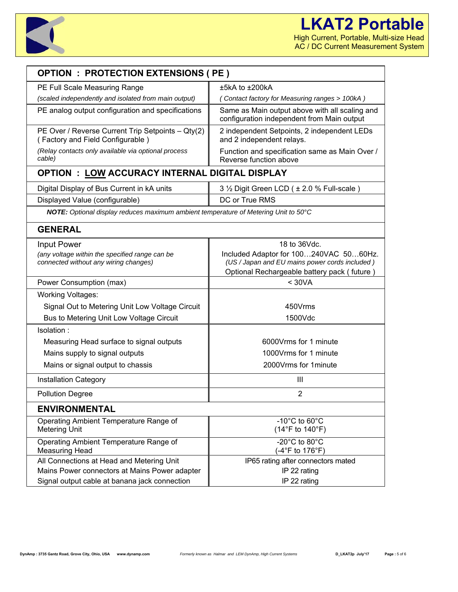

| <b>OPTION : PROTECTION EXTENSIONS ( PE )</b>                                          |                                                                                               |  |  |  |  |  |  |
|---------------------------------------------------------------------------------------|-----------------------------------------------------------------------------------------------|--|--|--|--|--|--|
| PE Full Scale Measuring Range                                                         | $±5kA$ to $±200kA$                                                                            |  |  |  |  |  |  |
| (scaled independently and isolated from main output)                                  | (Contact factory for Measuring ranges > 100kA)                                                |  |  |  |  |  |  |
| PE analog output configuration and specifications                                     | Same as Main output above with all scaling and<br>configuration independent from Main output  |  |  |  |  |  |  |
| PE Over / Reverse Current Trip Setpoints - Qty(2)<br>(Factory and Field Configurable) | 2 independent Setpoints, 2 independent LEDs<br>and 2 independent relays.                      |  |  |  |  |  |  |
| (Relay contacts only available via optional process<br>cable)                         | Function and specification same as Main Over /<br>Reverse function above                      |  |  |  |  |  |  |
| <b>OPTION : LOW ACCURACY INTERNAL DIGITAL DISPLAY</b>                                 |                                                                                               |  |  |  |  |  |  |
| Digital Display of Bus Current in kA units                                            | 3 1/2 Digit Green LCD ( ± 2.0 % Full-scale )                                                  |  |  |  |  |  |  |
| Displayed Value (configurable)                                                        | DC or True RMS                                                                                |  |  |  |  |  |  |
| NOTE: Optional display reduces maximum ambient temperature of Metering Unit to 50°C   |                                                                                               |  |  |  |  |  |  |
| <b>GENERAL</b>                                                                        |                                                                                               |  |  |  |  |  |  |
| 18 to 36Vdc.<br><b>Input Power</b>                                                    |                                                                                               |  |  |  |  |  |  |
| (any voltage within the specified range can be                                        | Included Adaptor for 100240VAC 5060Hz.                                                        |  |  |  |  |  |  |
| connected without any wiring changes)                                                 | (US / Japan and EU mains power cords included)<br>Optional Rechargeable battery pack (future) |  |  |  |  |  |  |
| Power Consumption (max)                                                               | < 30VA                                                                                        |  |  |  |  |  |  |
| <b>Working Voltages:</b>                                                              |                                                                                               |  |  |  |  |  |  |
| Signal Out to Metering Unit Low Voltage Circuit                                       | 450Vrms                                                                                       |  |  |  |  |  |  |
| Bus to Metering Unit Low Voltage Circuit                                              | 1500Vdc                                                                                       |  |  |  |  |  |  |
| Isolation:                                                                            |                                                                                               |  |  |  |  |  |  |
| Measuring Head surface to signal outputs                                              | 6000 Vrms for 1 minute                                                                        |  |  |  |  |  |  |
| Mains supply to signal outputs                                                        | 1000 Vrms for 1 minute                                                                        |  |  |  |  |  |  |
| Mains or signal output to chassis                                                     | 2000Vrms for 1minute                                                                          |  |  |  |  |  |  |
| <b>Installation Category</b>                                                          | Ш                                                                                             |  |  |  |  |  |  |
| <b>Pollution Degree</b>                                                               | $\overline{2}$                                                                                |  |  |  |  |  |  |
| <b>ENVIRONMENTAL</b>                                                                  |                                                                                               |  |  |  |  |  |  |
| Operating Ambient Temperature Range of                                                | -10 $^{\circ}$ C to 60 $^{\circ}$ C                                                           |  |  |  |  |  |  |
| <b>Metering Unit</b>                                                                  | $(14^{\circ}F \text{ to } 140^{\circ}F)$                                                      |  |  |  |  |  |  |
| Operating Ambient Temperature Range of<br><b>Measuring Head</b>                       | -20 $^{\circ}$ C to 80 $^{\circ}$ C<br>(-4°F to 176°F)                                        |  |  |  |  |  |  |
| All Connections at Head and Metering Unit                                             | IP65 rating after connectors mated                                                            |  |  |  |  |  |  |
| Mains Power connectors at Mains Power adapter                                         | IP 22 rating                                                                                  |  |  |  |  |  |  |
| Signal output cable at banana jack connection                                         | IP 22 rating                                                                                  |  |  |  |  |  |  |